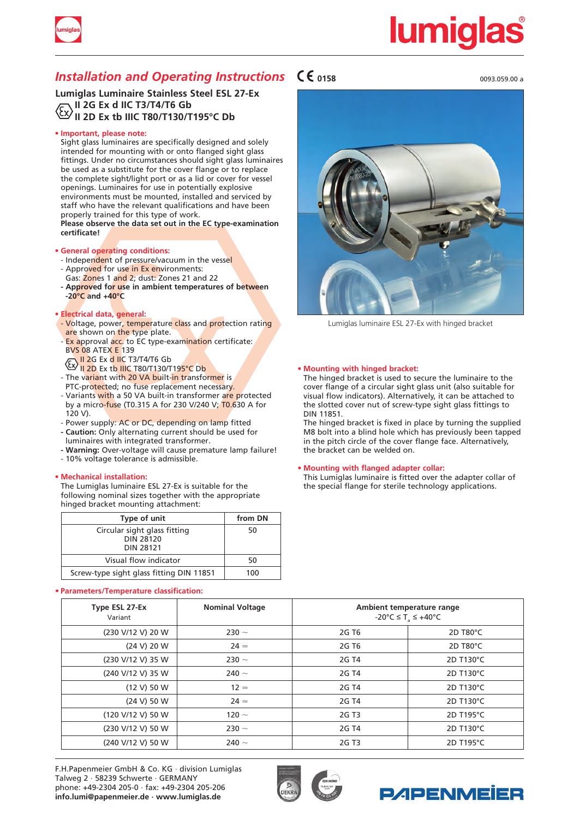

# <u>lumiqlas</u>

### *Installation and Operating Instructions*  $\mathsf{C}\mathsf{C}$ <sub>0158</sub>

**Lumiglas Luminaire Stainless Steel ESL 27-Ex II 2G Ex d IIC T3/T4/T6 Gb II 2D Ex tb IIIC T80/T130/T195°C Db**

#### **• Important, please note:**

Sight glass luminaires are specifically designed and solely intended for mounting with or onto flanged sight glass fittings. Under no circumstances should sight glass luminaires be used as a substitute for the cover flange or to replace the complete sight/light port or as a lid or cover for vessel openings. Luminaires for use in potentially explosive environments must be mounted, installed and serviced by staff who have the relevant qualifications and have been properly trained for this type of work.  **Please observe the data set out in the EC type-examination**

 **certificate!**

#### **• General operating conditions:**

- Independent of pressure/vacuum in the vessel - Approved for use in Ex environments:
- Gas: Zones 1 and 2; dust: Zones 21 and 22
- **- Approved for use in ambient temperatures of between -20°C and +40°C**

#### **• Electrical data, general:**

- Voltage, power, temperature class and protection rating are shown on the type plate.
- Ex approval acc. to EC type-examination certificate: BVS 08 ATEX E 139
- II 2G Ex d IIC T3/T4/T6 Gb
- **Ex II 2D Ex tb IIIC T80/T130/T195°C Db**
- The variant with 20 VA built-in transformer is PTC-protected; no fuse replacement necessary.
- Variants with a 50 VA built-in transformer are protected by a micro-fuse (T0.315 A for 230 V/240 V; T0.630 A for 120 V).
- Power supply: AC or DC, depending on lamp fitted
- **- Caution:** Only alternating current should be used for luminaires with integrated transformer.
- **- Warning:** Over-voltage will cause premature lamp failure!
- 10% voltage tolerance is admissible.

#### **• Mechanical installation:**

The Lumiglas luminaire ESL 27-Ex is suitable for the following nominal sizes together with the appropriate hinged bracket mounting attachment:

| Type of unit                                                  | from DN |
|---------------------------------------------------------------|---------|
| Circular sight glass fitting<br><b>DIN 28120</b><br>DIN 28121 | 50      |
| Visual flow indicator                                         | 50      |
| Screw-type sight glass fitting DIN 11851                      | 100     |

#### **• Parameters/Temperature classification:**





Lumiglas luminaire ESL 27-Ex with hinged bracket

#### **• Mounting with hinged bracket:**

The hinged bracket is used to secure the luminaire to the cover flange of a circular sight glass unit (also suitable for visual flow indicators). Alternatively, it can be attached to the slotted cover nut of screw-type sight glass fittings to DIN 11851.

The hinged bracket is fixed in place by turning the supplied M8 bolt into a blind hole which has previously been tapped in the pitch circle of the cover flange face. Alternatively, the bracket can be welded on.

#### **• Mounting with flanged adapter collar:**

This Lumiglas luminaire is fitted over the adapter collar of the special flange for sterile technology applications.

| Type ESL 27-Ex<br>Variant | <b>Nominal Voltage</b> | Ambient temperature range<br>$-20^{\circ}$ C $\leq$ T <sub>s</sub> $\leq$ +40°C |           |
|---------------------------|------------------------|---------------------------------------------------------------------------------|-----------|
| (230 V/12 V) 20 W         | 230 $\sim$             | 2G T <sub>6</sub>                                                               | 2D T80°C  |
| (24 V) 20 W               | $24 \simeq$            | 2G T <sub>6</sub>                                                               | 2D T80°C  |
| (230 V/12 V) 35 W         | 230 $\sim$             | 2G T4                                                                           | 2D T130°C |
| (240 V/12 V) 35 W         | 240 $\sim$             | 2G T4                                                                           | 2D T130°C |
| (12 V) 50 W               | $12 \simeq$            | 2G T4                                                                           | 2D T130°C |
| (24 V) 50 W               | $24 \simeq$            | 2G T4                                                                           | 2D T130°C |
| (120 V/12 V) 50 W         | 120 $\sim$             | 2G T3                                                                           | 2D T195°C |
| (230 V/12 V) 50 W         | 230 $\sim$             | 2G T4                                                                           | 2D T130°C |
| (240 V/12 V) 50 W         | 240 $\sim$             | 2G T <sub>3</sub>                                                               | 2D T195°C |